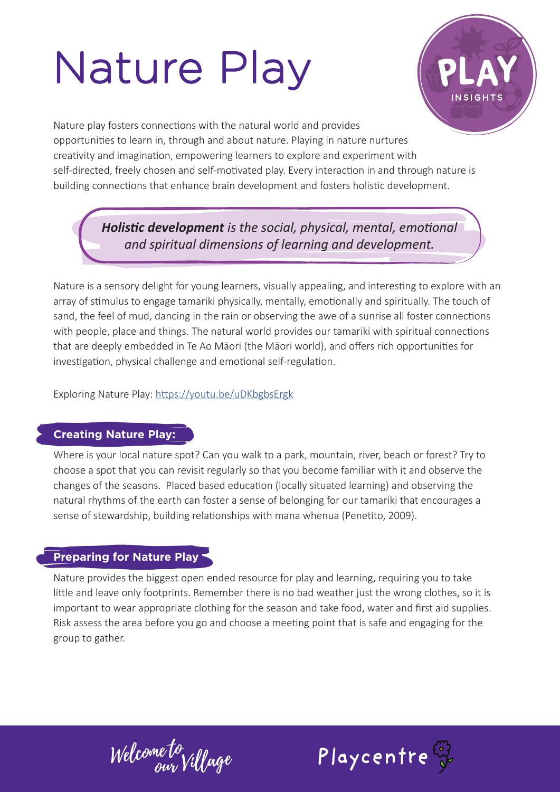# Nature Play



Nature play fosters connections with the natural world and provides opportunities to learn in, through and about nature. Playing in nature nurtures creativity and imagination, empowering learners to explore and experiment with self-directed, freely chosen and self-motivated play. Every interaction in and through nature is building connections that enhance brain development and fosters holistic development.

> *Holistic development is the social, physical, mental, emotional and spiritual dimensions of learning and development.*

Nature is a sensory delight for young learners, visually appealing, and interesting to explore with an array of stimulus to engage tamariki physically, mentally, emotionally and spiritually. The touch of sand, the feel of mud, dancing in the rain or observing the awe of a sunrise all foster connections with people, place and things. The natural world provides our tamariki with spiritual connections that are deeply embedded in Te Ao Māori (the Māori world), and offers rich opportunities for investigation, physical challenge and emotional self-regulation.

Exploring Nature Play: https://youtu.be/uDKbgbsErgk

## **Creating Nature Play:**

Where is your local nature spot? Can you walk to a park, mountain, river, beach or forest? Try to choose a spot that you can revisit regularly so that you become familiar with it and observe the changes of the seasons. Placed based education (locally situated learning) and observing the natural rhythms of the earth can foster a sense of belonging for our tamariki that encourages a sense of stewardship, building relationships with mana whenua (Penetito, 2009).

## **Preparing for Nature Play**

Nature provides the biggest open ended resource for play and learning, requiring you to take little and leave only footprints. Remember there is no bad weather just the wrong clothes, so it is important to wear appropriate clothing for the season and take food, water and first aid supplies. Risk assess the area before you go and choose a meeting point that is safe and engaging for the group to gather.

Welcome to<br>our Village

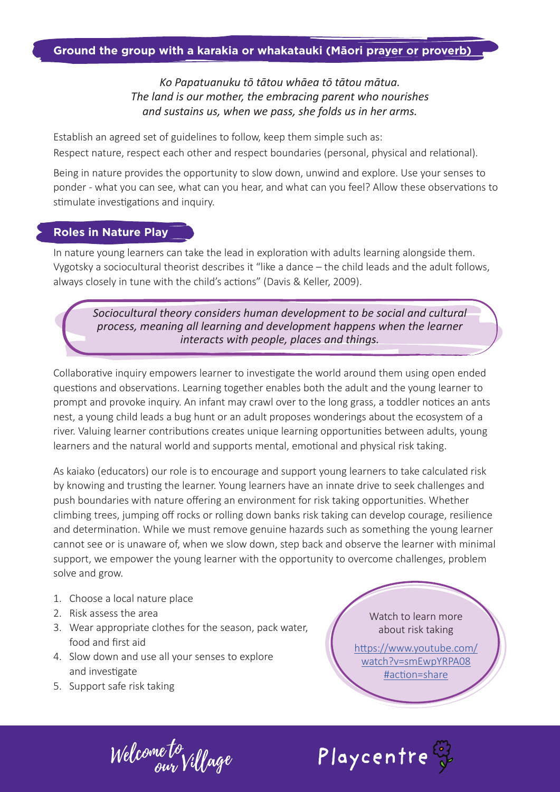#### **Ground the group with a karakia or whakatauki (Maori prayer or proverb)**

*Ko Papatuanuku tō tātou whāea tō tātou mātua. The land is our mother, the embracing parent who nourishes and sustains us, when we pass, she folds us in her arms.* 

Establish an agreed set of guidelines to follow, keep them simple such as: Respect nature, respect each other and respect boundaries (personal, physical and relational).

Being in nature provides the opportunity to slow down, unwind and explore. Use your senses to ponder - what you can see, what can you hear, and what can you feel? Allow these observations to stimulate investigations and inquiry.

#### **Roles in Nature Play**

In nature young learners can take the lead in exploration with adults learning alongside them. Vygotsky a sociocultural theorist describes it "like a dance – the child leads and the adult follows, always closely in tune with the child's actions" (Davis & Keller, 2009).

*Sociocultural theory considers human development to be social and cultural process, meaning all learning and development happens when the learner interacts with people, places and things.*

Collaborative inquiry empowers learner to investigate the world around them using open ended questions and observations. Learning together enables both the adult and the young learner to prompt and provoke inquiry. An infant may crawl over to the long grass, a toddler notices an ants nest, a young child leads a bug hunt or an adult proposes wonderings about the ecosystem of a river. Valuing learner contributions creates unique learning opportunities between adults, young learners and the natural world and supports mental, emotional and physical risk taking.

As kaiako (educators) our role is to encourage and support young learners to take calculated risk by knowing and trusting the learner. Young learners have an innate drive to seek challenges and push boundaries with nature offering an environment for risk taking opportunities. Whether climbing trees, jumping off rocks or rolling down banks risk taking can develop courage, resilience and determination. While we must remove genuine hazards such as something the young learner cannot see or is unaware of, when we slow down, step back and observe the learner with minimal support, we empower the young learner with the opportunity to overcome challenges, problem solve and grow.

- 1. Choose a local nature place
- 2. Risk assess the area
- 3. Wear appropriate clothes for the season, pack water, food and first aid
- 4. Slow down and use all your senses to explore and investigate
- 5. Support safe risk taking

Watch to learn more about risk taking

https://www.youtube.com/ watch?v=smEwpYRPA08 #action=share